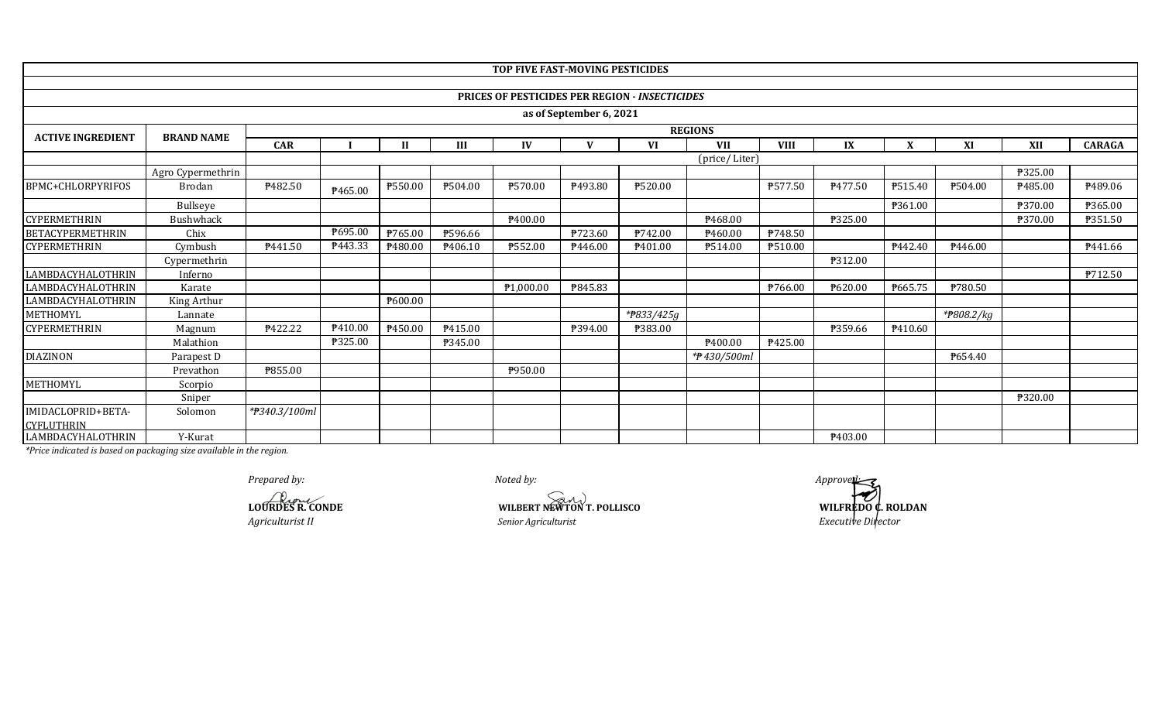|                                         |                   |                  |                |         |         | TOP FIVE FAST-MOVING PESTICIDES |                         |                                                       |               |             |         |         |                |         |                |
|-----------------------------------------|-------------------|------------------|----------------|---------|---------|---------------------------------|-------------------------|-------------------------------------------------------|---------------|-------------|---------|---------|----------------|---------|----------------|
|                                         |                   |                  |                |         |         |                                 |                         |                                                       |               |             |         |         |                |         |                |
|                                         |                   |                  |                |         |         |                                 |                         | <b>PRICES OF PESTICIDES PER REGION - INSECTICIDES</b> |               |             |         |         |                |         |                |
|                                         |                   |                  |                |         |         |                                 | as of September 6, 2021 |                                                       |               |             |         |         |                |         |                |
| <b>ACTIVE INGREDIENT</b>                | <b>BRAND NAME</b> |                  | <b>REGIONS</b> |         |         |                                 |                         |                                                       |               |             |         |         |                |         |                |
|                                         |                   | <b>CAR</b>       |                |         | Ш       | $\bf{IV}$                       | $\mathbf{V}$            | VI                                                    | <b>VII</b>    | <b>VIII</b> | IX      | X       | XI             | XII     | <b>CARAGA</b>  |
|                                         |                   |                  |                |         |         |                                 |                         |                                                       | (price/Liter) |             |         |         |                |         |                |
|                                         | Agro Cypermethrin |                  |                |         |         |                                 |                         |                                                       |               |             |         |         |                | ₱325.00 |                |
| BPMC+CHLORPYRIFOS                       | <b>Brodan</b>     | ₱482.50          | P465.00        | ₱550.00 | ₱504.00 | ₱570.00                         | P493.80                 | ₱520.00                                               |               | P577.50     | P477.50 | P515.40 | P504.00        | ₱485.00 | P489.06        |
|                                         | Bullseye          |                  |                |         |         |                                 |                         |                                                       |               |             |         | P361.00 |                | ₱370.00 | P365.00        |
| <b>CYPERMETHRIN</b>                     | Bushwhack         |                  |                |         |         | P400.00                         |                         |                                                       | P468.00       |             | P325.00 |         |                | ₱370.00 | P351.50        |
| BETACYPERMETHRIN                        | Chix              |                  | ₱695.00        | ₱765.00 | P596.66 |                                 | P723.60                 | P742.00                                               | P460.00       | P748.50     |         |         |                |         |                |
| CYPERMETHRIN                            | Cymbush           | P441.50          | P443.33        | P480.00 | P406.10 | ₱552.00                         | P446.00                 | P <sub>401.00</sub>                                   | P514.00       | ₱510.00     |         | P442.40 | P446.00        |         | P441.66        |
|                                         | Cypermethrin      |                  |                |         |         |                                 |                         |                                                       |               |             | ₱312.00 |         |                |         |                |
| LAMBDACYHALOTHRIN                       | Inferno           |                  |                |         |         |                                 |                         |                                                       |               |             |         |         |                |         | <b>P712.50</b> |
| LAMBDACYHALOTHRIN                       | Karate            |                  |                |         |         | ₱1,000.00                       | P845.83                 |                                                       |               | ₱766.00     | P620.00 | P665.75 | <b>\780.50</b> |         |                |
| LAMBDACYHALOTHRIN                       | King Arthur       |                  |                | ₱600.00 |         |                                 |                         |                                                       |               |             |         |         |                |         |                |
| METHOMYL                                | Lannate           |                  |                |         |         |                                 |                         | *#833/425g                                            |               |             |         |         | *#808.2/kg     |         |                |
| <b>CYPERMETHRIN</b>                     | Magnum            | <b>\\$422.22</b> | P410.00        | P450.00 | P415.00 |                                 | ₱394.00                 | ₱383.00                                               |               |             | P359.66 | P410.60 |                |         |                |
|                                         | Malathion         |                  | ₱325.00        |         | P345.00 |                                 |                         |                                                       | P400.00       | ₱425.00     |         |         |                |         |                |
| DIAZINON                                | Parapest D        |                  |                |         |         |                                 |                         |                                                       | *#430/500ml   |             |         |         | P654.40        |         |                |
|                                         | Prevathon         | ₱855.00          |                |         |         | P950.00                         |                         |                                                       |               |             |         |         |                |         |                |
| METHOMYL                                | Scorpio           |                  |                |         |         |                                 |                         |                                                       |               |             |         |         |                |         |                |
|                                         | Sniper            |                  |                |         |         |                                 |                         |                                                       |               |             |         |         |                | ₱320.00 |                |
| IMIDACLOPRID+BETA-<br><b>CYFLUTHRIN</b> | Solomon           | *#340.3/100ml    |                |         |         |                                 |                         |                                                       |               |             |         |         |                |         |                |
| LAMBDACYHALOTHRIN                       | Y-Kurat           |                  |                |         |         |                                 |                         |                                                       |               |             | P403.00 |         |                |         |                |

**LOURDES R. CONDE**

*Agriculturist II*

**WILBERT NEWTON T. POLLISCO SENIOR SENIOR SENIOR SERVICE DIRECT NEWTON T. POLLISCO**<br> *Senior Agriculturist*<br> *Executive Director* 

*Prepared by:* **Approved:**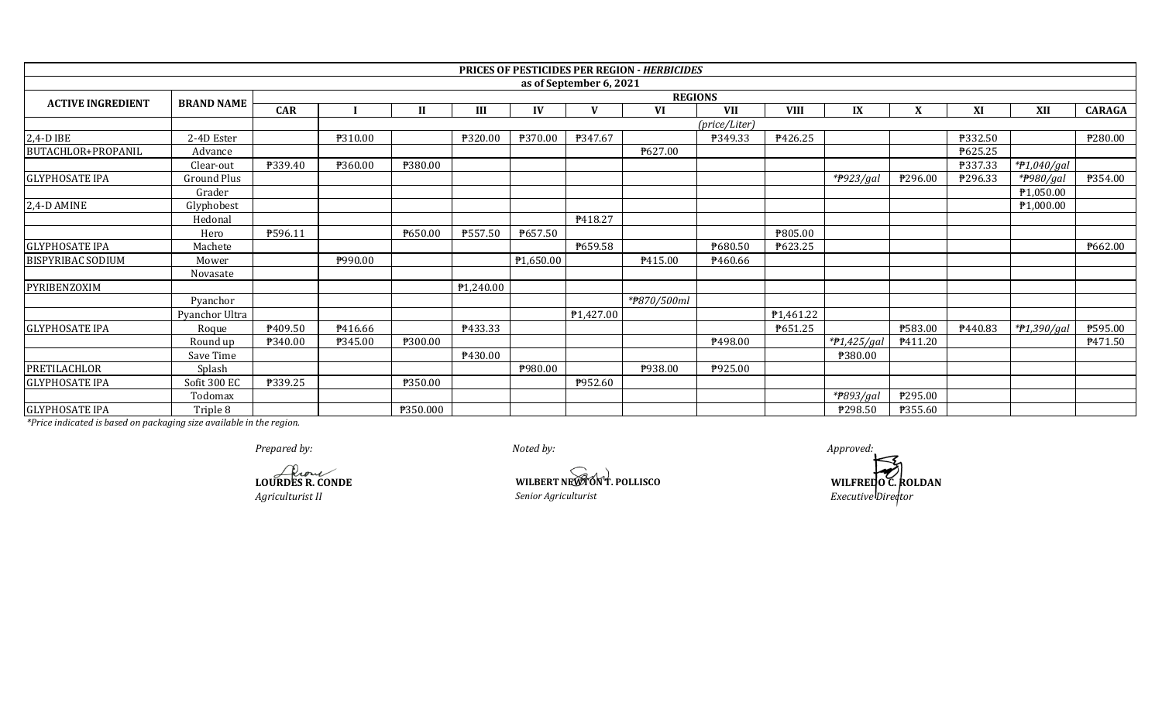|                          |                   |                |                |                  |           |                |                         | <b>PRICES OF PESTICIDES PER REGION - HERBICIDES</b> |               |                        |                        |         |         |               |                |
|--------------------------|-------------------|----------------|----------------|------------------|-----------|----------------|-------------------------|-----------------------------------------------------|---------------|------------------------|------------------------|---------|---------|---------------|----------------|
|                          |                   |                |                |                  |           |                | as of September 6, 2021 |                                                     |               |                        |                        |         |         |               |                |
| <b>ACTIVE INGREDIENT</b> | <b>BRAND NAME</b> | <b>REGIONS</b> |                |                  |           |                |                         |                                                     |               |                        |                        |         |         |               |                |
|                          |                   | <b>CAR</b>     |                | $\mathbf{I}$     | III       | IV             | $\mathbf{V}$            | <b>VI</b>                                           | <b>VII</b>    | <b>VIII</b>            | IX                     | X       | XI      | XII           | <b>CARAGA</b>  |
|                          |                   |                |                |                  |           |                |                         |                                                     | (price/Liter) |                        |                        |         |         |               |                |
| 2,4-D IBE                | 2-4D Ester        |                | ₱310.00        |                  | ₱320.00   | <b>P370.00</b> | P347.67                 |                                                     | P349.33       | P426.25                |                        |         | ₱332.50 |               | ₱280.00        |
| BUTACHLOR+PROPANIL       | Advance           |                |                |                  |           |                |                         | P627.00                                             |               |                        |                        |         | ₱625.25 |               |                |
|                          | Clear-out         | ₱339.40        | ₱360.00        | ₱380.00          |           |                |                         |                                                     |               |                        |                        |         | P337.33 | $*P1,040/gal$ |                |
| <b>GLYPHOSATE IPA</b>    | Ground Plus       |                |                |                  |           |                |                         |                                                     |               |                        | $*$ P923/gal           | ₱296.00 | ₱296.33 | *#980/gal     | <b>P354.00</b> |
|                          | Grader            |                |                |                  |           |                |                         |                                                     |               |                        |                        |         |         | P1,050.00     |                |
| 2,4-D AMINE              | Glyphobest        |                |                |                  |           |                |                         |                                                     |               |                        |                        |         |         | P1,000.00     |                |
|                          | Hedonal           |                |                |                  |           |                | P418.27                 |                                                     |               |                        |                        |         |         |               |                |
|                          | Hero              | P596.11        |                | P650.00          | ₱557.50   | P657.50        |                         |                                                     |               | P805.00                |                        |         |         |               |                |
| <b>GLYPHOSATE IPA</b>    | Machete           |                |                |                  |           |                | P659.58                 |                                                     | P680.50       | P623.25                |                        |         |         |               | ₱662.00        |
| <b>BISPYRIBAC SODIUM</b> | Mower             |                | P990.00        |                  |           | P1,650.00      |                         | P415.00                                             | P460.66       |                        |                        |         |         |               |                |
|                          | Novasate          |                |                |                  |           |                |                         |                                                     |               |                        |                        |         |         |               |                |
| PYRIBENZOXIM             |                   |                |                |                  | P1,240.00 |                |                         |                                                     |               |                        |                        |         |         |               |                |
|                          | Pyanchor          |                |                |                  |           |                |                         | *#870/500ml                                         |               |                        |                        |         |         |               |                |
|                          | Pyanchor Ultra    |                |                |                  |           |                | ₱1,427.00               |                                                     |               | P <sub>1</sub> ,461.22 |                        |         |         |               |                |
| <b>GLYPHOSATE IPA</b>    | Roque             | P409.50        | P416.66        |                  | P433.33   |                |                         |                                                     |               | P651.25                |                        | ₱583.00 | P440.83 | * $7,390/gal$ | ₱595.00        |
|                          | Round up          | P340.00        | <b>P345.00</b> | <b>\\$300.00</b> |           |                |                         |                                                     | P498.00       |                        | *P1,425/gal            | P411.20 |         |               | P471.50        |
|                          | Save Time         |                |                |                  | P430.00   |                |                         |                                                     |               |                        | ₱380.00                |         |         |               |                |
| PRETILACHLOR             | Splash            |                |                |                  |           | <b>P980.00</b> |                         | P938.00                                             | P925.00       |                        |                        |         |         |               |                |
| <b>GLYPHOSATE IPA</b>    | Sofit 300 EC      | ₱339.25        |                | P350.00          |           |                | P952.60                 |                                                     |               |                        |                        |         |         |               |                |
|                          | Todomax           |                |                |                  |           |                |                         |                                                     |               |                        | * <del>P</del> 893/gal | ₱295.00 |         |               |                |
| <b>GLYPHOSATE IPA</b>    | Triple 8          |                |                | P350.000         |           |                |                         |                                                     |               |                        | P298.50                | ₱355.60 |         |               |                |

*Prepared by: Approved:*

**LOURDES R. CONDE**

**WILBERT NEWTON T. POLLISCO WILFREDO C. ROLDAN** 

*Agriculturist II Senior Agriculturist Executive Director*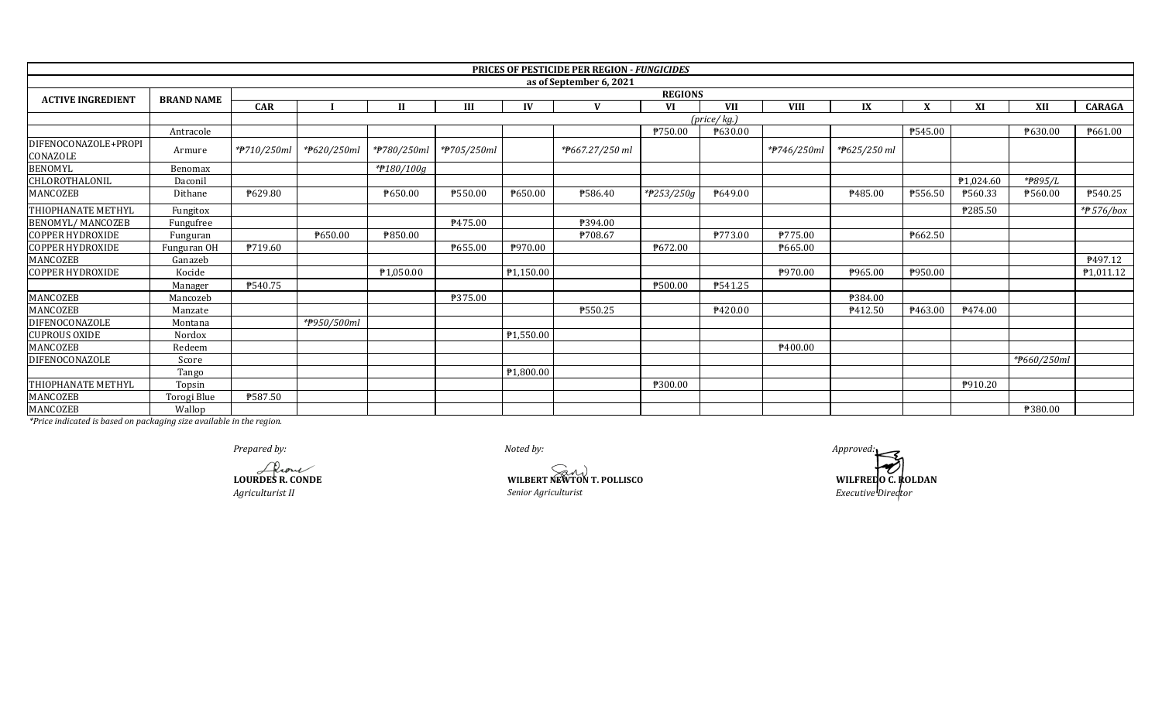|                                  |                   |                          |                |              |         |           | <b>PRICES OF PESTICIDE PER REGION - FUNGICIDES</b> |            |                            |                     |              |         |           |                |                |  |
|----------------------------------|-------------------|--------------------------|----------------|--------------|---------|-----------|----------------------------------------------------|------------|----------------------------|---------------------|--------------|---------|-----------|----------------|----------------|--|
|                                  |                   |                          |                |              |         |           | as of September 6, 2021                            |            |                            |                     |              |         |           |                |                |  |
| <b>ACTIVE INGREDIENT</b>         | <b>BRAND NAME</b> |                          | <b>REGIONS</b> |              |         |           |                                                    |            |                            |                     |              |         |           |                |                |  |
|                                  |                   | <b>CAR</b>               |                | $\mathbf{H}$ | Ш       | IV        | $\mathbf{V}$                                       | VI         | <b>VII</b>                 | <b>VIII</b>         | IX           |         | XI        | XII            | <b>CARAGA</b>  |  |
|                                  |                   |                          |                |              |         |           |                                                    |            | $(\text{price}/\text{kg})$ |                     |              |         |           |                |                |  |
|                                  | Antracole         |                          |                |              |         |           |                                                    | P750.00    | ₱630.00                    |                     |              | ₱545.00 |           | <b>P630.00</b> | ₱661.00        |  |
| DIFENOCONAZOLE+PROPI<br>CONAZOLE | Armure            | * <del>P</del> 710/250ml | *#620/250ml    |              |         |           | *#667.27/250 ml                                    |            |                            | *#746/250ml         | *₱625/250 ml |         |           |                |                |  |
| <b>BENOMYL</b>                   | Benomax           |                          |                | *#180/100g   |         |           |                                                    |            |                            |                     |              |         |           |                |                |  |
| CHLOROTHALONIL                   | Daconil           |                          |                |              |         |           |                                                    |            |                            |                     |              |         | ₱1,024.60 | *P895/L        |                |  |
| MANCOZEB                         | Dithane           | ₱629.80                  |                | P650.00      | ₱550.00 | ₱650.00   | P586.40                                            | *#253/250g | P649.00                    |                     | P485.00      | ₱556.50 | ₱560.33   | ₱560.00        | P540.25        |  |
| THIOPHANATE METHYL               | Fungitox          |                          |                |              |         |           |                                                    |            |                            |                     |              |         | ₱285.50   |                | $*$ 576/box    |  |
| <b>BENOMYL/MANCOZEB</b>          | Fungufree         |                          |                |              | ₹475.00 |           | P394.00                                            |            |                            |                     |              |         |           |                |                |  |
| <b>COPPER HYDROXIDE</b>          | Funguran          |                          | P650.00        | ₱850.00      |         |           | P708.67                                            |            | P773.00                    | P775.00             |              | ₱662.50 |           |                |                |  |
| COPPER HYDROXIDE                 | Funguran OH       | P719.60                  |                |              | P655.00 | ₱970.00   |                                                    | ₱672.00    |                            | P665.00             |              |         |           |                |                |  |
| MANCOZEB                         | Ganazeb           |                          |                |              |         |           |                                                    |            |                            |                     |              |         |           |                | <b>₱497.12</b> |  |
| <b>COPPER HYDROXIDE</b>          | Kocide            |                          |                | P1,050.00    |         | P1,150.00 |                                                    |            |                            | P970.00             | ₱965.00      | P950.00 |           |                | P1,011.12      |  |
|                                  | Manager           | ₱540.75                  |                |              |         |           |                                                    | ₱500.00    | ₱541.25                    |                     |              |         |           |                |                |  |
| MANCOZEB                         | Mancozeb          |                          |                |              | P375.00 |           |                                                    |            |                            |                     | P384.00      |         |           |                |                |  |
| MANCOZEB                         | Manzate           |                          |                |              |         |           | ₱550.25                                            |            | P420.00                    |                     | P412.50      | P463.00 | P474.00   |                |                |  |
| DIFENOCONAZOLE                   | Montana           |                          | *#950/500ml    |              |         |           |                                                    |            |                            |                     |              |         |           |                |                |  |
| <b>CUPROUS OXIDE</b>             | Nordox            |                          |                |              |         | ₱1,550.00 |                                                    |            |                            |                     |              |         |           |                |                |  |
| MANCOZEB                         | Redeem            |                          |                |              |         |           |                                                    |            |                            | P <sub>400.00</sub> |              |         |           |                |                |  |
| DIFENOCONAZOLE                   | Score             |                          |                |              |         |           |                                                    |            |                            |                     |              |         |           | *#660/250ml    |                |  |
|                                  | Tango             |                          |                |              |         | P1,800.00 |                                                    |            |                            |                     |              |         |           |                |                |  |
| THIOPHANATE METHYL               | Topsin            |                          |                |              |         |           |                                                    | ₱300.00    |                            |                     |              |         | P910.20   |                |                |  |
| MANCOZEB                         | Torogi Blue       | P587.50                  |                |              |         |           |                                                    |            |                            |                     |              |         |           |                |                |  |
| MANCOZEB                         | Wallop            |                          |                |              |         |           |                                                    |            |                            |                     |              |         |           | ₱380.00        |                |  |

Prepared by:

LOURDES R. CONDE Agriculturist II

WILBERT NEWTON T. POLLISCO Senior Agriculturist

Approved: WILFREDO C. ROLDAN<br>Executive Director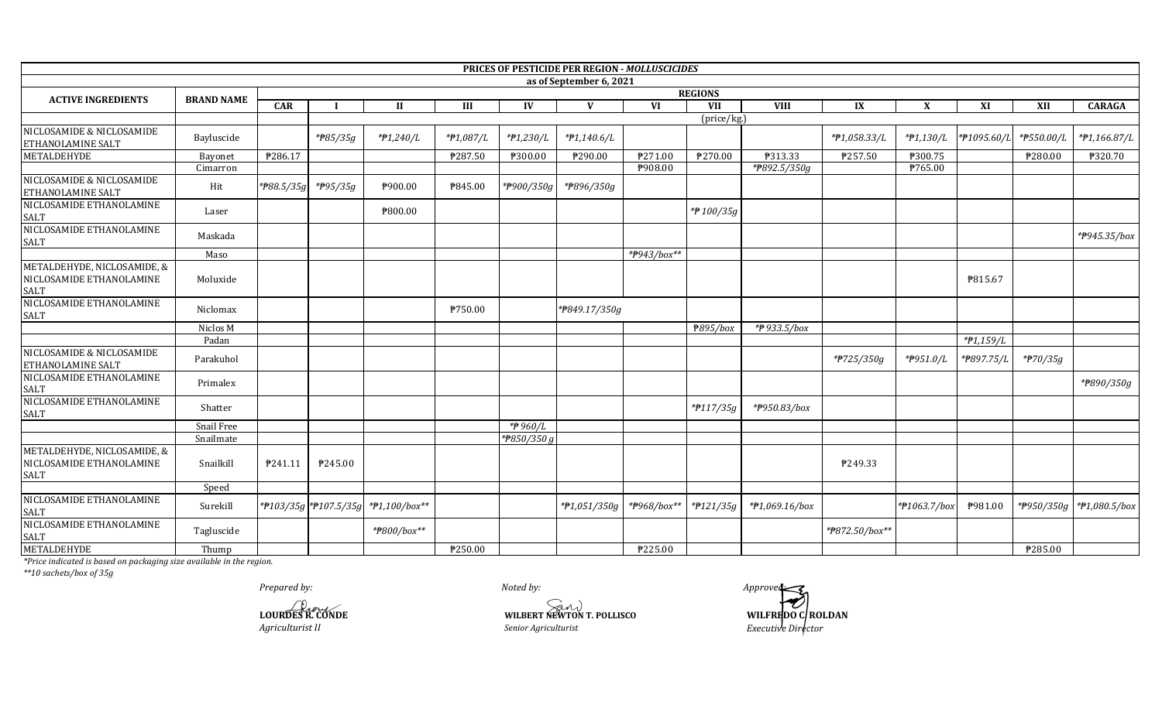|                                                                 |                   |            |                |                                     |                  |               | PRICES OF PESTICIDE PER REGION - MOLLUSCICIDES |             |             |                |                |              |                         |                       |               |  |
|-----------------------------------------------------------------|-------------------|------------|----------------|-------------------------------------|------------------|---------------|------------------------------------------------|-------------|-------------|----------------|----------------|--------------|-------------------------|-----------------------|---------------|--|
|                                                                 |                   |            |                |                                     |                  |               | as of September 6, 2021                        |             |             |                |                |              |                         |                       |               |  |
| <b>ACTIVE INGREDIENTS</b>                                       | <b>BRAND NAME</b> |            | <b>REGIONS</b> |                                     |                  |               |                                                |             |             |                |                |              |                         |                       |               |  |
|                                                                 |                   | <b>CAR</b> |                | и                                   | III              | $\mathbf{IV}$ | V                                              | <b>VI</b>   | <b>VII</b>  | <b>VIII</b>    | IX             | $\mathbf{x}$ | XI                      | XII                   | <b>CARAGA</b> |  |
|                                                                 |                   |            |                |                                     |                  |               |                                                |             | (price/kg.) |                |                |              |                         |                       |               |  |
| NICLOSAMIDE & NICLOSAMIDE<br>ETHANOLAMINE SALT                  | Bayluscide        |            | *#85/35g       | *#1,240/L                           | *#1,087/L        | $*P1,230/L$   | $*P1,140.6/L$                                  |             |             |                | *#1,058.33/L   | $*P1,130/L$  | *#1095.60/L             | *#550.00/L            | *#1,166.87/L  |  |
| <b>METALDEHYDE</b>                                              | Bayonet           | P286.17    |                |                                     | ₱287.50          | ₱300.00       | ₱290.00                                        | P271.00     | P270.00     | <b>P313.33</b> | ₹257.50        | ₱300.75      |                         | ₱280.00               | ₱320.70       |  |
|                                                                 | Cimarron          |            |                |                                     |                  |               |                                                | P908.00     |             | *P892.5/350g   |                | ₱765.00      |                         |                       |               |  |
| NICLOSAMIDE & NICLOSAMIDE<br>ETHANOLAMINE SALT                  | Hit               | *P88.5/35g | *#95/35g       | P900.00                             | <b>\\$845.00</b> | *P900/350g    | *#896/350g                                     |             |             |                |                |              |                         |                       |               |  |
| NICLOSAMIDE ETHANOLAMINE<br>SALT                                | Laser             |            |                | ₱800.00                             |                  |               |                                                |             | *P 100/35g  |                |                |              |                         |                       |               |  |
| NICLOSAMIDE ETHANOLAMINE<br>SALT                                | Maskada           |            |                |                                     |                  |               |                                                |             |             |                |                |              |                         |                       | *#945.35/box  |  |
|                                                                 | Maso              |            |                |                                     |                  |               |                                                | *#943/box** |             |                |                |              |                         |                       |               |  |
| METALDEHYDE, NICLOSAMIDE, &<br>NICLOSAMIDE ETHANOLAMINE<br>SALT | Moluxide          |            |                |                                     |                  |               |                                                |             |             |                |                |              | P815.67                 |                       |               |  |
| NICLOSAMIDE ETHANOLAMINE<br>SALT                                | Niclomax          |            |                |                                     | ₱750.00          |               | *P849.17/350g                                  |             |             |                |                |              |                         |                       |               |  |
|                                                                 | Niclos M          |            |                |                                     |                  |               |                                                |             | ₱895/box    | *#933.5/box    |                |              |                         |                       |               |  |
|                                                                 | Padan             |            |                |                                     |                  |               |                                                |             |             |                |                |              | *#1,159/L               |                       |               |  |
| NICLOSAMIDE & NICLOSAMIDE<br>ETHANOLAMINE SALT                  | Parakuhol         |            |                |                                     |                  |               |                                                |             |             |                | *#725/350g     | *#951.0/L    | * <del>7</del> 897.75/L | * <del>P</del> 70/35g |               |  |
| NICLOSAMIDE ETHANOLAMINE<br>SALT                                | Primalex          |            |                |                                     |                  |               |                                                |             |             |                |                |              |                         |                       | *#890/350g    |  |
| NICLOSAMIDE ETHANOLAMINE<br>SALT                                | Shatter           |            |                |                                     |                  |               |                                                |             | *P117/35g   | *#950.83/box   |                |              |                         |                       |               |  |
|                                                                 | Snail Free        |            |                |                                     |                  | *#960/L       |                                                |             |             |                |                |              |                         |                       |               |  |
|                                                                 | Snailmate         |            |                |                                     |                  | *P850/350 g   |                                                |             |             |                |                |              |                         |                       |               |  |
| METALDEHYDE, NICLOSAMIDE, &<br>NICLOSAMIDE ETHANOLAMINE<br>SALT | Snailkill         | P241.11    | P245.00        |                                     |                  |               |                                                |             |             |                | P249.33        |              |                         |                       |               |  |
|                                                                 | Speed             |            |                |                                     |                  |               |                                                |             |             |                |                |              |                         |                       |               |  |
| NICLOSAMIDE ETHANOLAMINE<br>SALT                                | Surekill          |            |                | *#103/35g *#107.5/35g *#1,100/box** |                  |               | $*P1,051/350g$                                 |             |             | *#1,069.16/box |                | *P1063.7/box | P981.00                 |                       |               |  |
| NICLOSAMIDE ETHANOLAMINE<br>SALT                                | Tagluscide        |            |                | *#800/box**                         |                  |               |                                                |             |             |                | *#872.50/box** |              |                         |                       |               |  |
| <b>METALDEHYDE</b>                                              | Thump             |            |                |                                     | ₱250.00          |               |                                                | ₹225.00     |             |                |                |              |                         | ₹285.00               |               |  |

\*Price indicated is based on packaging size available in the region.<br>\*\*10 sachets/box of 35g

Prepared by:

LOURDES R. CONDE Agriculturist II

WILBERT NEWTON T. POLLISCO Senior Agriculturist